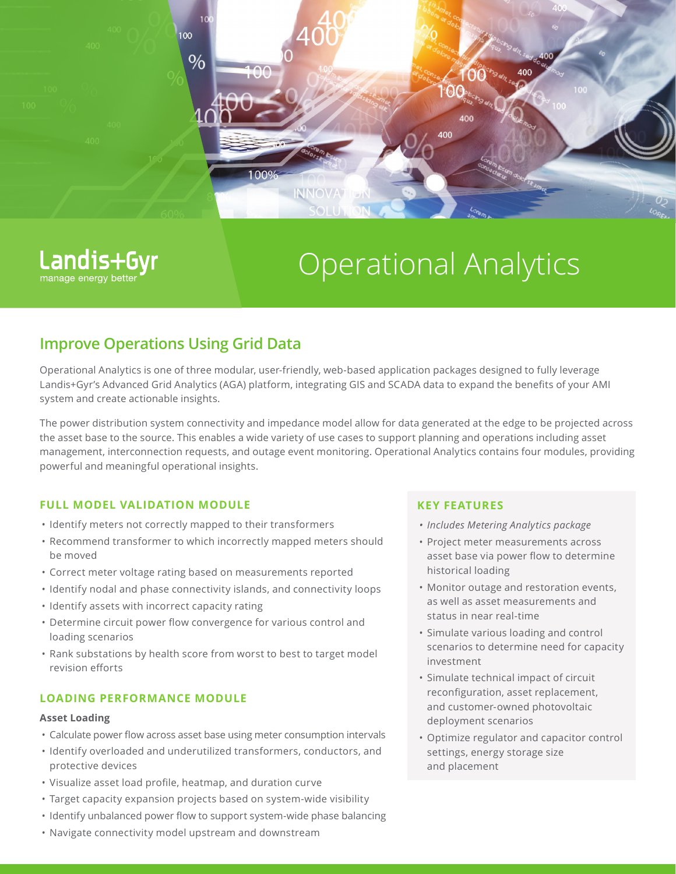

Operational Analytics

# **Improve Operations Using Grid Data**

Landis+Gyr

manage energy bett

Operational Analytics is one of three modular, user-friendly, web-based application packages designed to fully leverage Landis+Gyr's Advanced Grid Analytics (AGA) platform, integrating GIS and SCADA data to expand the benefits of your AMI system and create actionable insights.

The power distribution system connectivity and impedance model allow for data generated at the edge to be projected across the asset base to the source. This enables a wide variety of use cases to support planning and operations including asset management, interconnection requests, and outage event monitoring. Operational Analytics contains four modules, providing powerful and meaningful operational insights.

# **FULL MODEL VALIDATION MODULE**

- Identify meters not correctly mapped to their transformers
- Recommend transformer to which incorrectly mapped meters should be moved
- Correct meter voltage rating based on measurements reported
- Identify nodal and phase connectivity islands, and connectivity loops
- Identify assets with incorrect capacity rating
- Determine circuit power flow convergence for various control and loading scenarios
- Rank substations by health score from worst to best to target model revision efforts

# **LOADING PERFORMANCE MODULE**

### **Asset Loading**

- Calculate power flow across asset base using meter consumption intervals
- Identify overloaded and underutilized transformers, conductors, and protective devices
- Visualize asset load profile, heatmap, and duration curve
- Target capacity expansion projects based on system-wide visibility
- Identify unbalanced power flow to support system-wide phase balancing
- Navigate connectivity model upstream and downstream

## **KEY FEATURES**

- *• Includes Metering Analytics package*
- Project meter measurements across asset base via power flow to determine historical loading
- Monitor outage and restoration events, as well as asset measurements and status in near real-time
- Simulate various loading and control scenarios to determine need for capacity investment
- Simulate technical impact of circuit reconfiguration, asset replacement, and customer-owned photovoltaic deployment scenarios
- Optimize regulator and capacitor control settings, energy storage size and placement